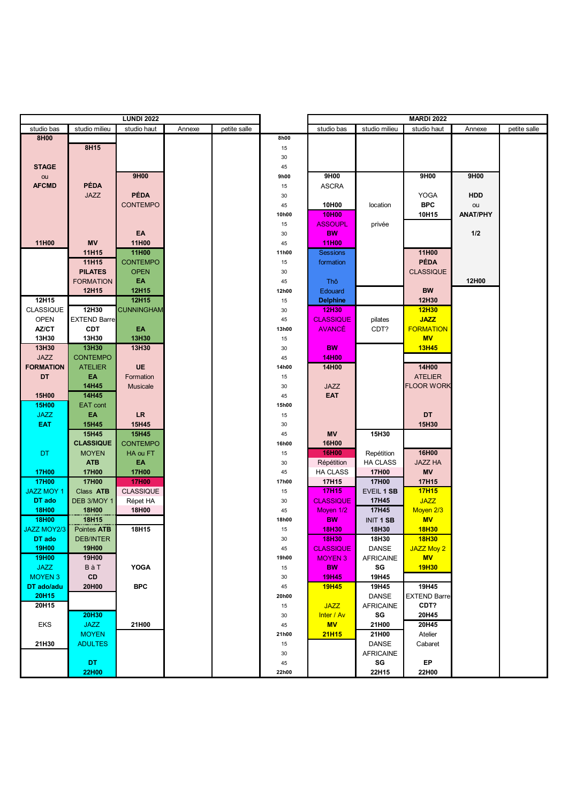|                   | <b>LUNDI 2022</b>   |                   |        |              |          |                  |                   |                     |                 |              |
|-------------------|---------------------|-------------------|--------|--------------|----------|------------------|-------------------|---------------------|-----------------|--------------|
| studio bas        | studio milieu       | studio haut       | Annexe | petite salle |          | studio bas       | studio milieu     | studio haut         | Annexe          | petite salle |
| 8H00              |                     |                   |        |              | 8h00     |                  |                   |                     |                 |              |
|                   | 8H15                |                   |        |              | 15       |                  |                   |                     |                 |              |
|                   |                     |                   |        |              | 30       |                  |                   |                     |                 |              |
| <b>STAGE</b>      |                     |                   |        |              | 45       |                  |                   |                     |                 |              |
| ou                |                     | 9H00              |        |              | 9h00     | 9H00             |                   | 9H00                | 9H00            |              |
| <b>AFCMD</b>      | PÉDA                |                   |        |              | 15       | <b>ASCRA</b>     |                   |                     |                 |              |
|                   | <b>JAZZ</b>         | <b>PÉDA</b>       |        |              | 30       |                  |                   | YOGA                | HDD             |              |
|                   |                     | <b>CONTEMPO</b>   |        |              | 45       | 10H00            | location          | <b>BPC</b>          | ou              |              |
|                   |                     |                   |        |              | 10h00    | 10H00            |                   | 10H15               | <b>ANAT/PHY</b> |              |
|                   |                     |                   |        |              | 15       | <b>ASSOUPL</b>   | privée            |                     |                 |              |
|                   |                     | EA                |        |              | 30       | <b>BW</b>        |                   |                     | 1/2             |              |
| 11H00             | <b>MV</b>           | 11H00             |        |              | 45       | <b>11H00</b>     |                   |                     |                 |              |
|                   | 11H15               | 11H00             |        |              | 11h00    | <b>Sessions</b>  |                   | 11H00               |                 |              |
|                   | 11H15               | <b>CONTEMPO</b>   |        |              | 15       | formation        |                   | <b>PÉDA</b>         |                 |              |
|                   | <b>PILATES</b>      | <b>OPEN</b>       |        |              | 30       |                  |                   | <b>CLASSIQUE</b>    |                 |              |
|                   | <b>FORMATION</b>    | EA                |        |              | 45       | Thô              |                   |                     | 12H00           |              |
|                   | 12H15               | 12H15             |        |              | 12h00    | Edouard          |                   | <b>BW</b>           |                 |              |
| 12H15             |                     | 12H15             |        |              | 15       | <b>Delphine</b>  |                   | 12H30               |                 |              |
| <b>CLASSIQUE</b>  | 12H30               | <b>CUNNINGHAM</b> |        |              | 30       | 12H30            |                   | 12H30               |                 |              |
| <b>OPEN</b>       | <b>EXTEND Barre</b> |                   |        |              | 45       | <b>CLASSIQUE</b> | pilates           | <b>JAZZ</b>         |                 |              |
| AZ/CT             | <b>CDT</b>          | EA                |        |              | 13h00    | <b>AVANCÉ</b>    | CDT?              | <b>FORMATION</b>    |                 |              |
| 13H30             | 13H30               | 13H30             |        |              | 15       |                  |                   | <b>MV</b>           |                 |              |
| 13H30             | 13H30               | 13H30             |        |              | 30       | <b>BW</b>        |                   | <b>13H45</b>        |                 |              |
| <b>JAZZ</b>       | <b>CONTEMPO</b>     |                   |        |              | 45       | <b>14H00</b>     |                   |                     |                 |              |
| <b>FORMATION</b>  | <b>ATELIER</b>      | UE                |        |              | 14h00    | 14H00            |                   | 14H00               |                 |              |
| <b>DT</b>         | EA                  | Formation         |        |              | 15       |                  |                   | <b>ATELIER</b>      |                 |              |
|                   | 14H45               | Musicale          |        |              | 30       | JAZZ             |                   | <b>FLOOR WORK</b>   |                 |              |
| 15H00             | 14H45               |                   |        |              | 45       | EAT              |                   |                     |                 |              |
| <b>15H00</b>      | EAT cont<br>EA      |                   |        |              | 15h00    |                  |                   | <b>DT</b>           |                 |              |
| <b>JAZZ</b>       |                     | <b>LR</b>         |        |              | 15       |                  |                   |                     |                 |              |
| <b>EAT</b>        | 15H45<br>15H45      | 15H45<br>15H45    |        |              | 30<br>45 | <b>MV</b>        | 15H30             | 15H30               |                 |              |
|                   | <b>CLASSIQUE</b>    | <b>CONTEMPO</b>   |        |              | 16h00    | 16H00            |                   |                     |                 |              |
| DT.               | <b>MOYEN</b>        | HA ou FT          |        |              | 15       | <b>16H00</b>     | Repétition        | 16H00               |                 |              |
|                   | <b>ATB</b>          | EΑ                |        |              | 30       | Répétition       | <b>HA CLASS</b>   | <b>JAZZ HA</b>      |                 |              |
| <b>17H00</b>      | <b>17H00</b>        | <b>17H00</b>      |        |              | 45       | <b>HA CLASS</b>  | 17H00             | <b>MV</b>           |                 |              |
| <b>17H00</b>      | 17H00               | <b>17H00</b>      |        |              | 17h00    | 17H15            | 17H00             | 17H15               |                 |              |
| <b>JAZZ MOY 1</b> | Class ATB           | <b>CLASSIQUE</b>  |        |              | 15       | <b>17H15</b>     | <b>EVEIL 1 SB</b> | <b>17H15</b>        |                 |              |
| DT ado            | DEB 3/MOY 1         | Répet HA          |        |              | 30       | <b>CLASSIQUE</b> | 17H45             | <b>JAZZ</b>         |                 |              |
| <b>18H00</b>      | 18H00               | 18H00             |        |              | 45       | Moyen 1/2        | 17H45             | Moyen 2/3           |                 |              |
| <b>18H00</b>      | 18H15               |                   |        |              | 18h00    | <b>BW</b>        | <b>INIT 1 SB</b>  | <b>MV</b>           |                 |              |
| JAZZ MOY2/3       | Pointes ATB         | 18H15             |        |              | 15       | 18H30            | 18H30             | <b>18H30</b>        |                 |              |
| DT ado            | <b>DEB/INTER</b>    |                   |        |              | 30       | 18H30            | 18H30             | <b>18H30</b>        |                 |              |
| <b>19H00</b>      | 19H00               |                   |        |              | 45       | <b>CLASSIQUE</b> | DANSE             | JAZZ Moy 2          |                 |              |
| 19H00             | 19H00               |                   |        |              | 19h00    | <b>MOYEN 3</b>   | <b>AFRICAINE</b>  | <b>MV</b>           |                 |              |
| <b>JAZZ</b>       | BàT                 | <b>YOGA</b>       |        |              | 15       | <b>BW</b>        | SG                | 19H30               |                 |              |
| <b>MOYEN 3</b>    | CD                  |                   |        |              | 30       | 19H45            | 19H45             |                     |                 |              |
| DT ado/adu        | 20H00               | <b>BPC</b>        |        |              | 45       | <b>19H45</b>     | 19H45             | 19H45               |                 |              |
| 20H15             |                     |                   |        |              | 20h00    |                  | DANSE             | <b>EXTEND Barre</b> |                 |              |
| 20H15             |                     |                   |        |              | 15       | <b>JAZZ</b>      | <b>AFRICAINE</b>  | CDT?                |                 |              |
|                   | 20H30               |                   |        |              | 30       | Inter / Av       | SG                | 20H45               |                 |              |
| EKS               | <b>JAZZ</b>         | 21H00             |        |              | 45       | <b>MV</b>        | 21H00             | 20H45               |                 |              |
|                   | <b>MOYEN</b>        |                   |        |              | 21h00    | <b>21H15</b>     | 21H00             | Atelier             |                 |              |
| 21H30             | <b>ADULTES</b>      |                   |        |              | 15       |                  | DANSE             | Cabaret             |                 |              |
|                   |                     |                   |        |              | 30       |                  | <b>AFRICAINE</b>  |                     |                 |              |
|                   | DT.                 |                   |        |              | 45       |                  | SG                | EP                  |                 |              |
|                   | 22H00               |                   |        |              | 22h00    |                  | 22H15             | 22H00               |                 |              |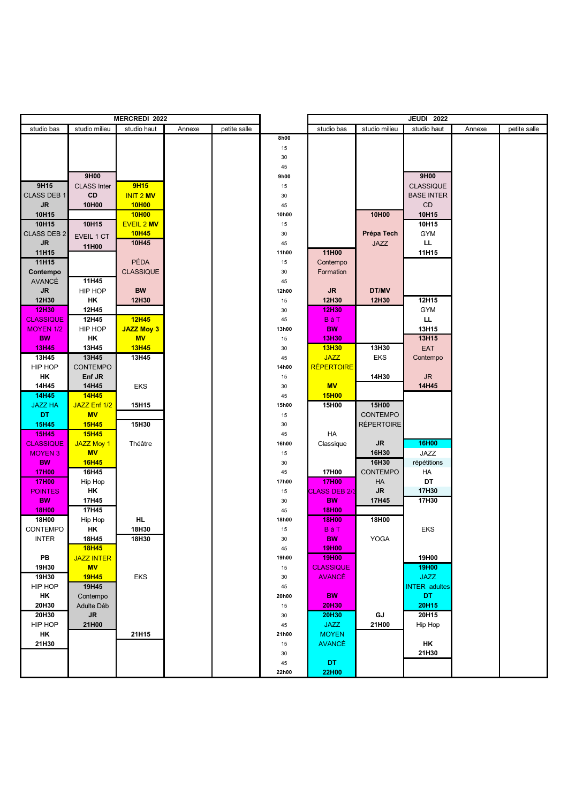| <b>MERCREDI 2022</b> |                    |                   |        |              |       | <b>JEUDI 2022</b>    |                   |                      |        |              |
|----------------------|--------------------|-------------------|--------|--------------|-------|----------------------|-------------------|----------------------|--------|--------------|
| studio bas           | studio milieu      | studio haut       | Annexe | petite salle |       | studio bas           | studio milieu     | studio haut          | Annexe | petite salle |
|                      |                    |                   |        |              | 8h00  |                      |                   |                      |        |              |
|                      |                    |                   |        |              | 15    |                      |                   |                      |        |              |
|                      |                    |                   |        |              | 30    |                      |                   |                      |        |              |
|                      |                    |                   |        |              | 45    |                      |                   |                      |        |              |
|                      | 9H00               |                   |        |              | 9h00  |                      |                   | 9H00                 |        |              |
| 9H15                 | <b>CLASS Inter</b> | <b>9H15</b>       |        |              | 15    |                      |                   | <b>CLASSIQUE</b>     |        |              |
| <b>CLASS DEB 1</b>   | <b>CD</b>          | <b>INIT 2 MV</b>  |        |              | 30    |                      |                   | <b>BASE INTER</b>    |        |              |
| <b>JR</b>            | 10H00              | 10H <sub>00</sub> |        |              | 45    |                      |                   | CD                   |        |              |
| 10H15                |                    | 10H <sub>00</sub> |        |              | 10h00 |                      | 10H00             | 10H15                |        |              |
| 10H15                | 10H15              | <b>EVEIL 2 MV</b> |        |              | 15    |                      |                   | 10H15                |        |              |
| <b>CLASS DEB 2</b>   | EVEIL 1 CT         | <b>10H45</b>      |        |              | 30    |                      | Prépa Tech        | <b>GYM</b>           |        |              |
| ${\sf JR}$           | 11H00              | 10H45             |        |              | 45    |                      | <b>JAZZ</b>       | LL.                  |        |              |
| 11H15                |                    |                   |        |              | 11h00 | 11H00                |                   | 11H15                |        |              |
| 11H15                |                    | PÉDA              |        |              | 15    | Contempo             |                   |                      |        |              |
| Contempo             |                    | <b>CLASSIQUE</b>  |        |              | 30    | Formation            |                   |                      |        |              |
| <b>AVANCÉ</b>        | 11H45              |                   |        |              | 45    |                      |                   |                      |        |              |
| ${\sf JR}$           | HIP HOP            | <b>BW</b>         |        |              | 12h00 | <b>JR</b>            | DT/MV             |                      |        |              |
| 12H30                | HK                 | 12H30             |        |              | 15    | 12H30                | 12H30             | 12H15                |        |              |
| 12H30                | 12H45              |                   |        |              | 30    | 12H30                |                   | <b>GYM</b>           |        |              |
| <b>CLASSIQUE</b>     | 12H45              | 12H45             |        |              | 45    | BàT                  |                   | LL.                  |        |              |
| <b>MOYEN 1/2</b>     | HIP HOP            | <b>JAZZ Moy 3</b> |        |              | 13h00 | <b>BW</b>            |                   | 13H15                |        |              |
| <b>BW</b>            | ΗK                 | <b>MV</b>         |        |              | 15    | 13H30                |                   | 13H15                |        |              |
| <b>13H45</b>         | 13H45              | <b>13H45</b>      |        |              | 30    | <b>13H30</b>         | 13H30             | EAT                  |        |              |
| 13H45                | 13H45              | 13H45             |        |              | 45    | <b>JAZZ</b>          | EKS               | Contempo             |        |              |
| HIP HOP              | CONTEMPO           |                   |        |              | 14h00 | <b>RÉPERTOIRE</b>    |                   |                      |        |              |
| HK                   | Enf JR             |                   |        |              | 15    |                      | 14H30             | JR.                  |        |              |
| 14H45                | 14H45              | EKS               |        |              | 30    | <b>MV</b>            |                   | 14H45                |        |              |
| 14H45                | <b>14H45</b>       |                   |        |              | 45    | <b>15H00</b>         |                   |                      |        |              |
| <b>JAZZ HA</b>       | JAZZ Enf 1/2       | 15H15             |        |              | 15h00 | 15H00                | 15H00             |                      |        |              |
| <b>DT</b>            | <b>MV</b>          |                   |        |              | 15    |                      | CONTEMPO          |                      |        |              |
| <b>15H45</b>         | <b>15H45</b>       | 15H30             |        |              | 30    |                      | <b>RÉPERTOIRE</b> |                      |        |              |
| <b>15H45</b>         | <b>15H45</b>       |                   |        |              | 45    | HA                   |                   |                      |        |              |
| <b>CLASSIQUE</b>     | <b>JAZZ Moy 1</b>  | Théâtre           |        |              | 16h00 | Classique            | JR                | 16H00                |        |              |
| <b>MOYEN 3</b>       | <b>MV</b>          |                   |        |              | 15    |                      | 16H30             | JAZZ                 |        |              |
| <b>BW</b>            | 16H45              |                   |        |              | 30    |                      | 16H30             | répétitions          |        |              |
| <b>17H00</b>         | 16H45              |                   |        |              | 45    | 17H00                | CONTEMPO          | HA                   |        |              |
| <b>17H00</b>         | Hip Hop            |                   |        |              | 17h00 | <b>17H00</b>         | HA                | DT                   |        |              |
| <b>POINTES</b>       | ΗK                 |                   |        |              | 15    | <b>CLASS DEB 2/3</b> | ${\sf JR}$        | 17H30                |        |              |
| <b>BW</b>            | 17H45              |                   |        |              | 30    | <b>BW</b>            | 17H45             | 17H30                |        |              |
| <b>18H00</b>         | 17H45              |                   |        |              | 45    | 18H00                |                   |                      |        |              |
| 18H00                | Hip Hop            | HL                |        |              | 18h00 | 18H00                | 18H00             |                      |        |              |
| CONTEMPO             | ΗK                 | 18H30             |        |              | 15    | BàT                  |                   | EKS                  |        |              |
| <b>INTER</b>         | 18H45              | 18H30             |        |              | 30    | <b>BW</b>            | YOGA              |                      |        |              |
|                      | <b>18H45</b>       |                   |        |              | 45    | 19H00                |                   |                      |        |              |
| PB                   | <b>JAZZ INTER</b>  |                   |        |              | 19h00 | <b>19H00</b>         |                   | 19H00                |        |              |
| 19H30                | <b>MV</b>          |                   |        |              | 15    | <b>CLASSIQUE</b>     |                   | 19H00                |        |              |
| 19H30                | <b>19H45</b>       | <b>EKS</b>        |        |              | 30    | <b>AVANCÉ</b>        |                   | <b>JAZZ</b>          |        |              |
| HIP HOP              | 19H45              |                   |        |              | 45    |                      |                   | <b>INTER</b> adultes |        |              |
| HK                   | Contempo           |                   |        |              | 20h00 | <b>BW</b>            |                   | DT.                  |        |              |
| 20H30                | Adulte Déb         |                   |        |              | 15    | 20H30                |                   | 20H15                |        |              |
| 20H30                | <b>JR</b>          |                   |        |              | 30    | 20H30                | GJ                | 20H15                |        |              |
| HIP HOP              | 21H00              |                   |        |              | 45    | <b>JAZZ</b>          | 21H00             | Hip Hop              |        |              |
| HK                   |                    | 21H15             |        |              | 21h00 | <b>MOYEN</b>         |                   |                      |        |              |
| 21H30                |                    |                   |        |              | 15    | <b>AVANCÉ</b>        |                   | ΗK                   |        |              |
|                      |                    |                   |        |              | 30    |                      |                   | 21H30                |        |              |
|                      |                    |                   |        |              | 45    | DT.                  |                   |                      |        |              |
|                      |                    |                   |        |              | 22h00 | <b>22H00</b>         |                   |                      |        |              |
|                      |                    |                   |        |              |       |                      |                   |                      |        |              |